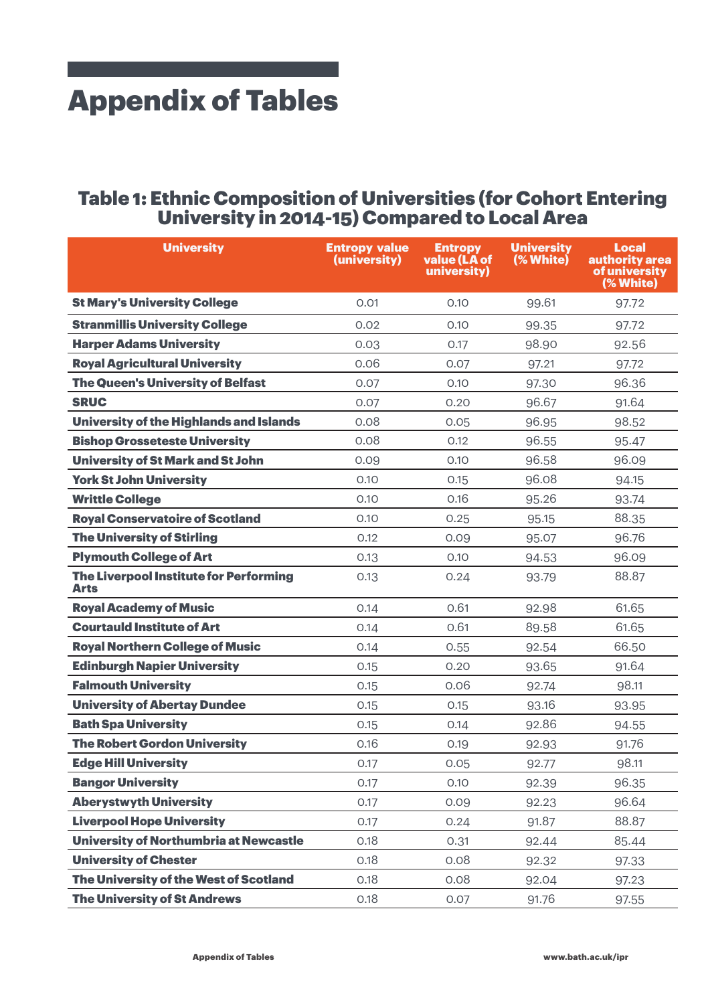## Appendix of Tables

## Table 1: Ethnic Composition of Universities (for Cohort Entering University in 2014-15) Compared to Local Area

| <b>University</b>                                     | <b>Entropy value</b><br>(university) | <b>Entropy</b><br>value (LA of<br>university) | <b>University</b><br>(% White) | <b>Local</b><br>authority area<br>of university<br>(% White) |
|-------------------------------------------------------|--------------------------------------|-----------------------------------------------|--------------------------------|--------------------------------------------------------------|
| <b>St Mary's University College</b>                   | 0.01                                 | 0.10                                          | 99.61                          | 97.72                                                        |
| <b>Stranmillis University College</b>                 | 0.02                                 | 0.10                                          | 99.35                          | 97.72                                                        |
| <b>Harper Adams University</b>                        | 0.03                                 | 0.17                                          | 98.90                          | 92.56                                                        |
| <b>Royal Agricultural University</b>                  | 0.06                                 | 0.07                                          | 97.21                          | 97.72                                                        |
| <b>The Queen's University of Belfast</b>              | 0.07                                 | 0.10                                          | 97.30                          | 96.36                                                        |
| <b>SRUC</b>                                           | 0.07                                 | 0.20                                          | 96.67                          | 91.64                                                        |
| University of the Highlands and Islands               | 0.08                                 | 0.05                                          | 96.95                          | 98.52                                                        |
| <b>Bishop Grosseteste University</b>                  | 0.08                                 | 0.12                                          | 96.55                          | 95.47                                                        |
| <b>University of St Mark and St John</b>              | 0.09                                 | 0.10                                          | 96.58                          | 96.09                                                        |
| <b>York St John University</b>                        | 0.10                                 | 0.15                                          | 96.08                          | 94.15                                                        |
| <b>Writtle College</b>                                | 0.10                                 | 0.16                                          | 95.26                          | 93.74                                                        |
| <b>Royal Conservatoire of Scotland</b>                | 0.10                                 | 0.25                                          | 95.15                          | 88.35                                                        |
| <b>The University of Stirling</b>                     | 0.12                                 | 0.09                                          | 95.07                          | 96.76                                                        |
| <b>Plymouth College of Art</b>                        | 0.13                                 | 0.10                                          | 94.53                          | 96.09                                                        |
| The Liverpool Institute for Performing<br><b>Arts</b> | 0.13                                 | 0.24                                          | 93.79                          | 88.87                                                        |
| <b>Royal Academy of Music</b>                         | 0.14                                 | 0.61                                          | 92.98                          | 61.65                                                        |
| <b>Courtauld Institute of Art</b>                     | 0.14                                 | 0.61                                          | 89.58                          | 61.65                                                        |
| <b>Royal Northern College of Music</b>                | 0.14                                 | 0.55                                          | 92.54                          | 66.50                                                        |
| <b>Edinburgh Napier University</b>                    | 0.15                                 | 0.20                                          | 93.65                          | 91.64                                                        |
| <b>Falmouth University</b>                            | 0.15                                 | 0.06                                          | 92.74                          | 98.11                                                        |
| <b>University of Abertay Dundee</b>                   | 0.15                                 | 0.15                                          | 93.16                          | 93.95                                                        |
| <b>Bath Spa University</b>                            | 0.15                                 | 0.14                                          | 92.86                          | 94.55                                                        |
| <b>The Robert Gordon University</b>                   | 0.16                                 | 0.19                                          | 92.93                          | 91.76                                                        |
| <b>Edge Hill University</b>                           | 0.17                                 | 0.05                                          | 92.77                          | 98.11                                                        |
| <b>Bangor University</b>                              | 0.17                                 | 0.10                                          | 92.39                          | 96.35                                                        |
| <b>Aberystwyth University</b>                         | 0.17                                 | 0.09                                          | 92.23                          | 96.64                                                        |
| <b>Liverpool Hope University</b>                      | 0.17                                 | 0.24                                          | 91.87                          | 88.87                                                        |
| University of Northumbria at Newcastle                | 0.18                                 | 0.31                                          | 92.44                          | 85.44                                                        |
| <b>University of Chester</b>                          | 0.18                                 | 0.08                                          | 92.32                          | 97.33                                                        |
| The University of the West of Scotland                | 0.18                                 | 0.08                                          | 92.04                          | 97.23                                                        |
| <b>The University of St Andrews</b>                   | 0.18                                 | 0.07                                          | 91.76                          | 97.55                                                        |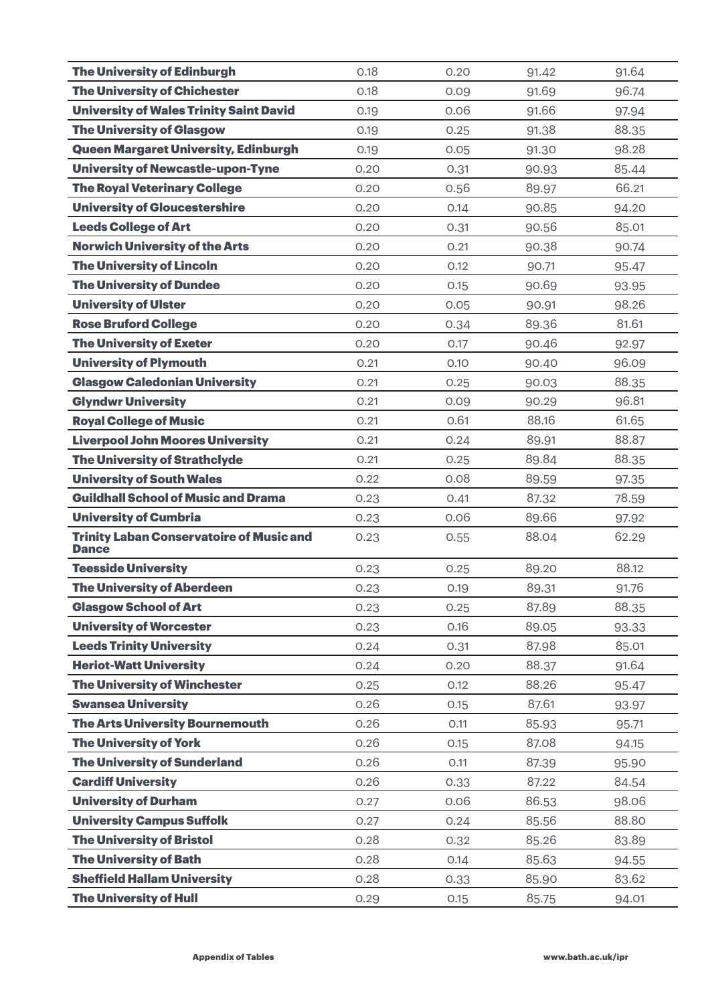| <b>The University of Edinburgh</b>                              | 0.18 | 0.20 | 91.42 | 91.64 |
|-----------------------------------------------------------------|------|------|-------|-------|
| <b>The University of Chichester</b>                             | 0.18 | 0.09 | 91.69 | 96.74 |
| <b>University of Wales Trinity Saint David</b>                  | 0.19 | 0.06 | 91.66 | 97.94 |
| <b>The University of Glasgow</b>                                | 0.19 | 0.25 | 91.38 | 88.35 |
| <b>Queen Margaret University, Edinburgh</b>                     | 0.19 | 0.05 | 91.30 | 98.28 |
| <b>University of Newcastle-upon-Tyne</b>                        | 0.20 | 0.31 | 90.93 | 85.44 |
| <b>The Royal Veterinary College</b>                             | 0.20 | 0.56 | 89.97 | 66.21 |
| <b>University of Gloucestershire</b>                            | 0.20 | 0.14 | 90.85 | 94.20 |
| <b>Leeds College of Art</b>                                     | 0.20 | 0.31 | 90.56 | 85.01 |
| <b>Norwich University of the Arts</b>                           | 0.20 | 0.21 | 90.38 | 90.74 |
| <b>The University of Lincoln</b>                                | 0.20 | 0.12 | 90.71 | 95.47 |
| <b>The University of Dundee</b>                                 | 0.20 | 0.15 | 90.69 | 93.95 |
| <b>University of Ulster</b>                                     | 0.20 | 0.05 | 90.91 | 98.26 |
| <b>Rose Bruford College</b>                                     | 0.20 | 0.34 | 89.36 | 81.61 |
| <b>The University of Exeter</b>                                 | 0.20 | 0.17 | 90.46 | 92.97 |
| <b>University of Plymouth</b>                                   | 0.21 | 0.10 | 90.40 | 96.09 |
| <b>Glasgow Caledonian University</b>                            | 0.21 | 0.25 | 90.03 | 88.35 |
| <b>Glyndwr University</b>                                       | 0.21 | 0.09 | 90.29 | 96.81 |
| <b>Royal College of Music</b>                                   | 0.21 | 0.61 | 88.16 | 61.65 |
| <b>Liverpool John Moores University</b>                         | 0.21 | 0.24 | 89.91 | 88.87 |
| <b>The University of Strathclyde</b>                            | 0.21 | 0.25 | 89.84 | 88.35 |
| <b>University of South Wales</b>                                | 0.22 | 0.08 | 89.59 | 97.35 |
| <b>Guildhall School of Music and Drama</b>                      | 0.23 | 0.41 | 87.32 | 78.59 |
| <b>University of Cumbria</b>                                    | 0.23 | 0.06 | 89.66 | 97.92 |
| <b>Trinity Laban Conservatoire of Music and</b><br><b>Dance</b> | 0.23 | 0.55 | 88.04 | 62.29 |
| <b>Teesside University</b>                                      | 0.23 | 0.25 | 89.20 | 88.12 |
| <b>The University of Aberdeen</b>                               | 0.23 | 0.19 | 89.31 | 91.76 |
| <b>Glasgow School of Art</b>                                    | 0.23 | 0.25 | 87.89 | 88.35 |
| <b>University of Worcester</b>                                  | 0.23 | 0.16 | 89.05 | 93.33 |
| <b>Leeds Trinity University</b>                                 | 0.24 | 0.31 | 87.98 | 85.01 |
| <b>Heriot-Watt University</b>                                   | 0.24 | 0.20 | 88.37 | 91.64 |
| <b>The University of Winchester</b>                             | 0.25 | 0.12 | 88.26 | 95.47 |
| <b>Swansea University</b>                                       | 0.26 | 0.15 | 87.61 | 93.97 |
| <b>The Arts University Bournemouth</b>                          | 0.26 | 0.11 | 85.93 | 95.71 |
| <b>The University of York</b>                                   | 0.26 | 0.15 | 87.08 | 94.15 |
| <b>The University of Sunderland</b>                             | 0.26 | 0.11 | 87.39 | 95.90 |
| <b>Cardiff University</b>                                       | 0.26 | 0.33 | 87.22 | 84.54 |
| <b>University of Durham</b>                                     | 0.27 | 0.06 | 86.53 | 98.06 |
| <b>University Campus Suffolk</b>                                | 0.27 | 0.24 | 85.56 | 88.80 |
| <b>The University of Bristol</b>                                | 0.28 | 0.32 | 85.26 | 83.89 |
| <b>The University of Bath</b>                                   | 0.28 | 0.14 | 85.63 | 94.55 |
| <b>Sheffield Hallam University</b>                              | 0.28 | 0.33 | 85.90 | 83.62 |
| <b>The University of Hull</b>                                   | 0.29 | 0.15 | 85.75 | 94.01 |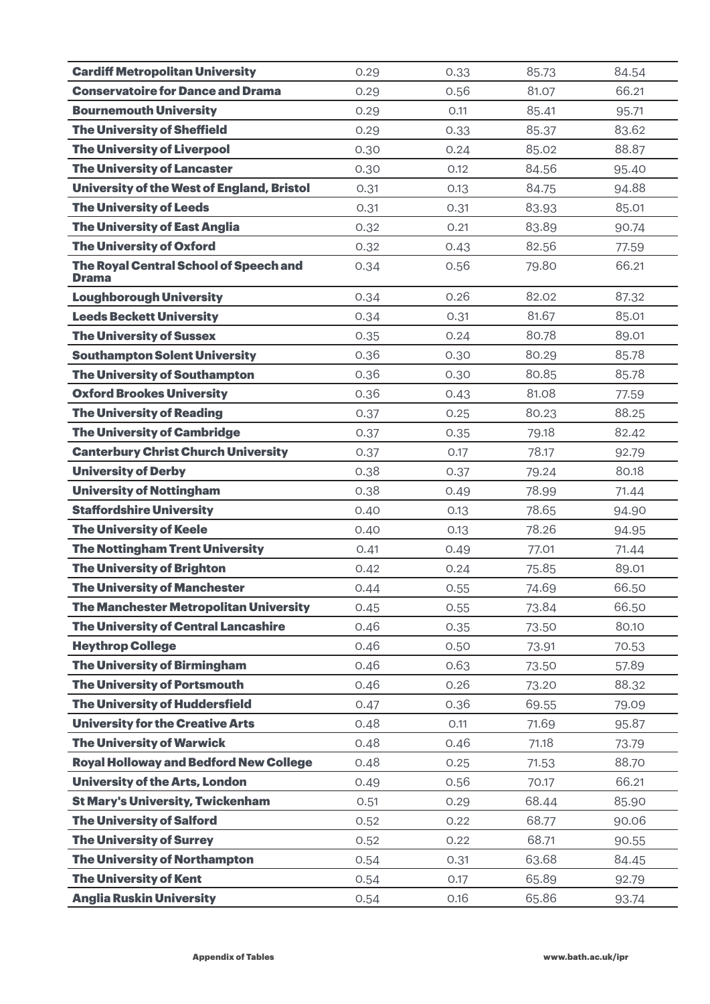| <b>Cardiff Metropolitan University</b>                        | 0.29 | 0.33 | 85.73 | 84.54 |
|---------------------------------------------------------------|------|------|-------|-------|
| <b>Conservatoire for Dance and Drama</b>                      | 0.29 | 0.56 | 81.07 | 66.21 |
| <b>Bournemouth University</b>                                 | 0.29 | O.11 | 85.41 | 95.71 |
| <b>The University of Sheffield</b>                            | 0.29 | 0.33 | 85.37 | 83.62 |
| <b>The University of Liverpool</b>                            | 0.30 | 0.24 | 85.02 | 88.87 |
| <b>The University of Lancaster</b>                            | 0.30 | 0.12 | 84.56 | 95.40 |
| University of the West of England, Bristol                    | 0.31 | 0.13 | 84.75 | 94.88 |
| <b>The University of Leeds</b>                                | 0.31 | 0.31 | 83.93 | 85.01 |
| <b>The University of East Anglia</b>                          | 0.32 | 0.21 | 83.89 | 90.74 |
| <b>The University of Oxford</b>                               | 0.32 | 0.43 | 82.56 | 77.59 |
| <b>The Royal Central School of Speech and</b><br><b>Drama</b> | 0.34 | 0.56 | 79.80 | 66.21 |
| <b>Loughborough University</b>                                | 0.34 | 0.26 | 82.02 | 87.32 |
| <b>Leeds Beckett University</b>                               | 0.34 | 0.31 | 81.67 | 85.01 |
| <b>The University of Sussex</b>                               | 0.35 | 0.24 | 80.78 | 89.01 |
| <b>Southampton Solent University</b>                          | 0.36 | 0.30 | 80.29 | 85.78 |
| <b>The University of Southampton</b>                          | 0.36 | 0.30 | 80.85 | 85.78 |
| <b>Oxford Brookes University</b>                              | 0.36 | 0.43 | 81.08 | 77.59 |
| <b>The University of Reading</b>                              | 0.37 | 0.25 | 80.23 | 88.25 |
| <b>The University of Cambridge</b>                            | 0.37 | 0.35 | 79.18 | 82.42 |
| <b>Canterbury Christ Church University</b>                    | 0.37 | 0.17 | 78.17 | 92.79 |
| <b>University of Derby</b>                                    | 0.38 | 0.37 | 79.24 | 80.18 |
| <b>University of Nottingham</b>                               | 0.38 | 0.49 | 78.99 | 71.44 |
| <b>Staffordshire University</b>                               | 0.40 | 0.13 | 78.65 | 94.90 |
| <b>The University of Keele</b>                                | 0.40 | 0.13 | 78.26 | 94.95 |
| <b>The Nottingham Trent University</b>                        | 0.41 | 0.49 | 77.01 | 71.44 |
| <b>The University of Brighton</b>                             | 0.42 | 0.24 | 75.85 | 89.01 |
| <b>The University of Manchester</b>                           | 0.44 | 0.55 | 74.69 | 66.50 |
| <b>The Manchester Metropolitan University</b>                 | 0.45 | 0.55 | 73.84 | 66.50 |
| <b>The University of Central Lancashire</b>                   | 0.46 | 0.35 | 73.50 | 80.10 |
| <b>Heythrop College</b>                                       | 0.46 | 0.50 | 73.91 | 70.53 |
| <b>The University of Birmingham</b>                           | 0.46 | 0.63 | 73.50 | 57.89 |
| <b>The University of Portsmouth</b>                           | 0.46 | 0.26 | 73.20 | 88.32 |
| <b>The University of Huddersfield</b>                         | 0.47 | 0.36 | 69.55 | 79.09 |
| <b>University for the Creative Arts</b>                       | 0.48 | 0.11 | 71.69 | 95.87 |
| <b>The University of Warwick</b>                              | 0.48 | 0.46 | 71.18 | 73.79 |
| <b>Royal Holloway and Bedford New College</b>                 | 0.48 | 0.25 | 71.53 | 88.70 |
| <b>University of the Arts, London</b>                         | 0.49 | 0.56 | 70.17 | 66.21 |
| <b>St Mary's University, Twickenham</b>                       | 0.51 | 0.29 | 68.44 | 85.90 |
| <b>The University of Salford</b>                              | 0.52 | 0.22 | 68.77 | 90.06 |
| <b>The University of Surrey</b>                               | 0.52 | 0.22 | 68.71 | 90.55 |
| <b>The University of Northampton</b>                          | 0.54 | 0.31 | 63.68 | 84.45 |
| <b>The University of Kent</b>                                 | 0.54 | 0.17 | 65.89 | 92.79 |
| <b>Anglia Ruskin University</b>                               | 0.54 | 0.16 | 65.86 | 93.74 |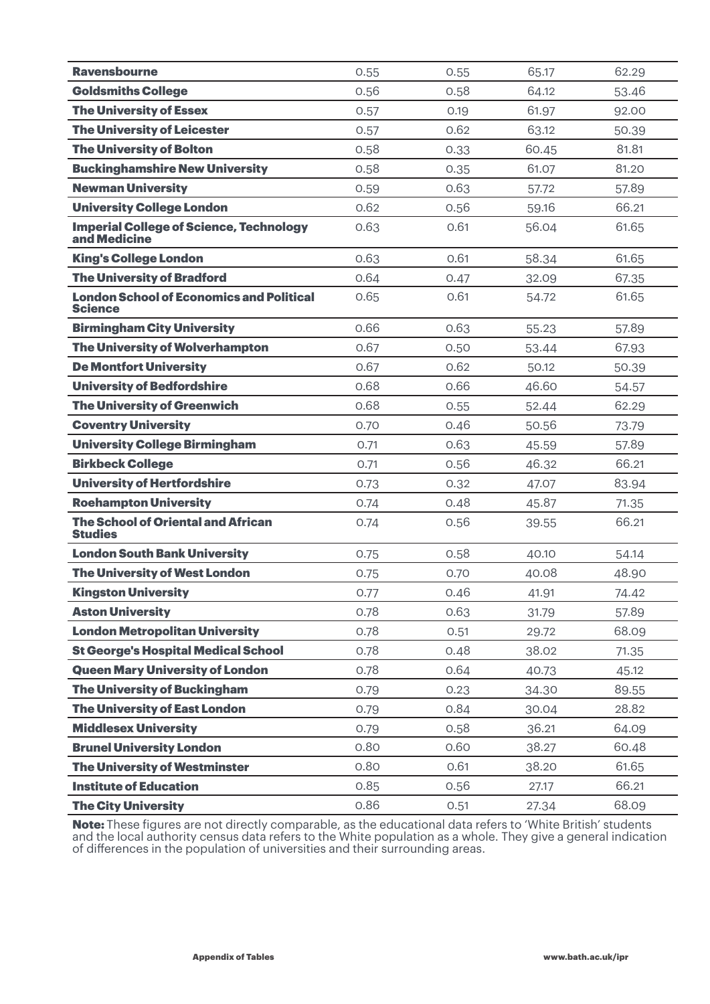| <b>Ravensbourne</b>                                               | 0.55 | 0.55 | 65.17 | 62.29 |
|-------------------------------------------------------------------|------|------|-------|-------|
| <b>Goldsmiths College</b>                                         | 0.56 | 0.58 | 64.12 | 53.46 |
| <b>The University of Essex</b>                                    | 0.57 | 0.19 | 61.97 | 92.00 |
| <b>The University of Leicester</b>                                | 0.57 | 0.62 | 63.12 | 50.39 |
| <b>The University of Bolton</b>                                   | 0.58 | 0.33 | 60.45 | 81.81 |
| <b>Buckinghamshire New University</b>                             | 0.58 | 0.35 | 61.07 | 81.20 |
| <b>Newman University</b>                                          | 0.59 | 0.63 | 57.72 | 57.89 |
| <b>University College London</b>                                  | 0.62 | 0.56 | 59.16 | 66.21 |
| <b>Imperial College of Science, Technology</b><br>and Medicine    | 0.63 | 0.61 | 56.04 | 61.65 |
| <b>King's College London</b>                                      | 0.63 | 0.61 | 58.34 | 61.65 |
| <b>The University of Bradford</b>                                 | 0.64 | 0.47 | 32.09 | 67.35 |
| <b>London School of Economics and Political</b><br><b>Science</b> | 0.65 | 0.61 | 54.72 | 61.65 |
| <b>Birmingham City University</b>                                 | 0.66 | 0.63 | 55.23 | 57.89 |
| <b>The University of Wolverhampton</b>                            | 0.67 | 0.50 | 53.44 | 67.93 |
| <b>De Montfort University</b>                                     | 0.67 | 0.62 | 50.12 | 50.39 |
| <b>University of Bedfordshire</b>                                 | 0.68 | 0.66 | 46.60 | 54.57 |
| <b>The University of Greenwich</b>                                | 0.68 | 0.55 | 52.44 | 62.29 |
| <b>Coventry University</b>                                        | 0.70 | 0.46 | 50.56 | 73.79 |
| <b>University College Birmingham</b>                              | 0.71 | 0.63 | 45.59 | 57.89 |
| <b>Birkbeck College</b>                                           | 0.71 | 0.56 | 46.32 | 66.21 |
| <b>University of Hertfordshire</b>                                | 0.73 | 0.32 | 47.07 | 83.94 |
| <b>Roehampton University</b>                                      | 0.74 | 0.48 | 45.87 | 71.35 |
| <b>The School of Oriental and African</b><br><b>Studies</b>       | 0.74 | 0.56 | 39.55 | 66.21 |
| <b>London South Bank University</b>                               | 0.75 | 0.58 | 40.10 | 54.14 |
| <b>The University of West London</b>                              | 0.75 | 0.70 | 40.08 | 48.90 |
| <b>Kingston University</b>                                        | 0.77 | 0.46 | 41.91 | 74.42 |
| <b>Aston University</b>                                           | 0.78 | 0.63 | 31.79 | 57.89 |
| <b>London Metropolitan University</b>                             | 0.78 | 0.51 | 29.72 | 68.09 |
| <b>St George's Hospital Medical School</b>                        | 0.78 | 0.48 | 38.02 | 71.35 |
| <b>Queen Mary University of London</b>                            | 0.78 | 0.64 | 40.73 | 45.12 |
| <b>The University of Buckingham</b>                               | 0.79 | 0.23 | 34.30 | 89.55 |
| <b>The University of East London</b>                              | 0.79 | 0.84 | 30.04 | 28.82 |
| <b>Middlesex University</b>                                       | 0.79 | 0.58 | 36.21 | 64.09 |
| <b>Brunel University London</b>                                   | 0.80 | 0.60 | 38.27 | 60.48 |
| <b>The University of Westminster</b>                              | 0.80 | 0.61 | 38.20 | 61.65 |
| <b>Institute of Education</b>                                     | 0.85 | 0.56 | 27.17 | 66.21 |
| <b>The City University</b>                                        | 0.86 | 0.51 | 27.34 | 68.09 |

Note: These figures are not directly comparable, as the educational data refers to 'White British' students and the local authority census data refers to the White population as a whole. They give a general indication of differences in the population of universities and their surrounding areas.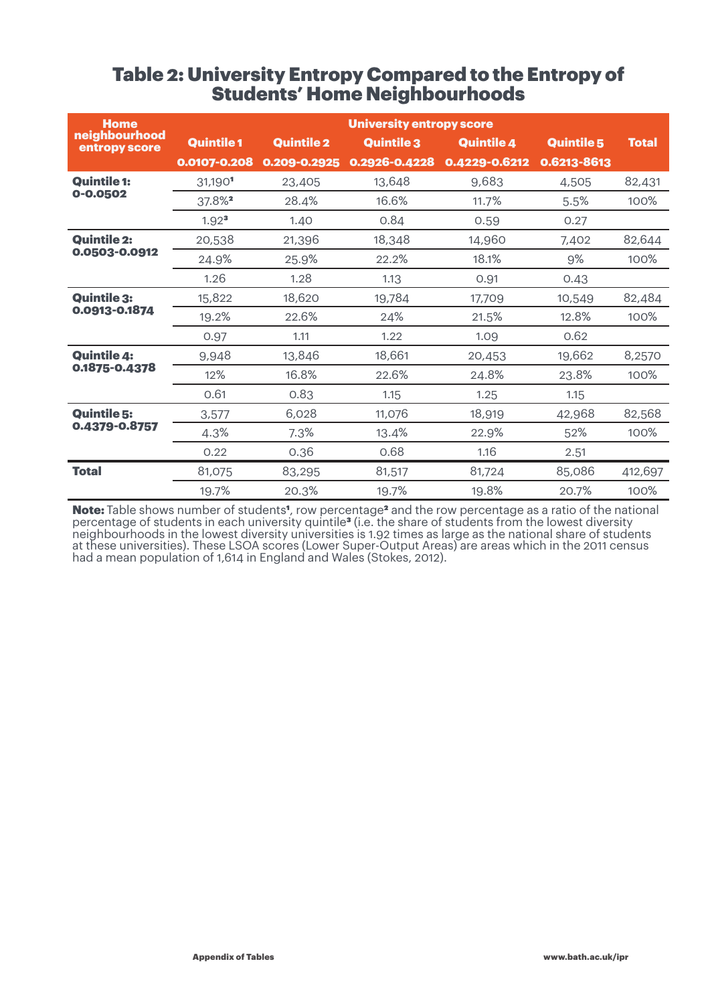## Table 2: University Entropy Compared to the Entropy of Students' Home Neighbourhoods

| <b>Home</b>                    | <b>University entropy score</b> |                   |                   |                   |                   |              |  |  |
|--------------------------------|---------------------------------|-------------------|-------------------|-------------------|-------------------|--------------|--|--|
| neighbourhood<br>entropy score | <b>Quintile 1</b>               | <b>Quintile 2</b> | <b>Quintile 3</b> | <b>Quintile 4</b> | <b>Quintile 5</b> | <b>Total</b> |  |  |
|                                | 0.0107-0.208                    | 0.209-0.2925      | 0.2926-0.4228     | 0.4229-0.6212     | 0.6213-8613       |              |  |  |
| <b>Ouintile 1:</b>             | 31,1901                         | 23,405            | 13,648            | 9,683             | 4,505             | 82,431       |  |  |
| 0-0.0502                       | 37.8% <sup>2</sup>              | 28.4%             | 16.6%             | 11.7%             | 5.5%              | 100%         |  |  |
|                                | 1.92 <sup>3</sup>               | 1.40              | 0.84              | 0.59              | 0.27              |              |  |  |
| <b>Ouintile 2:</b>             | 20,538                          | 21,396            | 18,348            | 14,960            | 7,402             | 82,644       |  |  |
| 0.0503-0.0912                  | 24.9%                           | 25.9%             | 22.2%             | 18.1%             | 9%                | 100%         |  |  |
|                                | 1.26                            | 1.28              | 1.13              | 0.91              | 0.43              |              |  |  |
| <b>Quintile 3:</b>             | 15,822                          | 18,620            | 19,784            | 17,709            | 10,549            | 82,484       |  |  |
| 0.0913-0.1874                  | 19.2%                           | 22.6%             | 24%               | 21.5%             | 12.8%             | 100%         |  |  |
|                                | 0.97                            | 1.11              | 1.22              | 1.09              | 0.62              |              |  |  |
| <b>Quintile 4:</b>             | 9,948                           | 13,846            | 18,661            | 20,453            | 19,662            | 8,2570       |  |  |
| 0.1875-0.4378                  | 12%                             | 16.8%             | 22.6%             | 24.8%             | 23.8%             | 100%         |  |  |
|                                | 0.61                            | 0.83              | 1.15              | 1.25              | 1.15              |              |  |  |
| <b>Quintile 5:</b>             | 3,577                           | 6.028             | 11,076            | 18,919            | 42,968            | 82,568       |  |  |
| 0.4379-0.8757                  | 4.3%                            | 7.3%              | 13.4%             | 22.9%             | 52%               | 100%         |  |  |
|                                | 0.22                            | 0.36              | 0.68              | 1.16              | 2.51              |              |  |  |
| <b>Total</b>                   | 81,075                          | 83,295            | 81,517            | 81,724            | 85,086            | 412,697      |  |  |
|                                | 19.7%                           | 20.3%             | 19.7%             | 19.8%             | 20.7%             | 100%         |  |  |

Note: Table shows number of students<sup>1</sup>, row percentage<sup>2</sup> and the row percentage as a ratio of the national percentage of students in each university quintile<sup>3</sup> (i.e. the share of students from the lowest diversity neighbourhoods in the lowest diversity universities is 1.92 times as large as the national share of students at these universities). These LSOA scores (Lower Super-Output Areas) are areas which in the 2011 census had a mean population of 1,614 in England and Wales (Stokes, 2012).